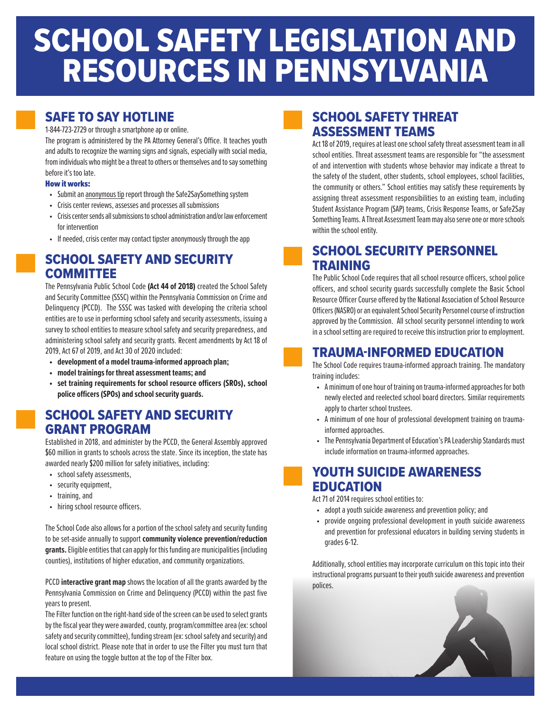# SCHOOL SAFETY LEGISLATION AND RESOURCES IN PENNSYLVANIA

## SAFE TO SAY HOTLINE

#### 1-844-723-2729 or through a smartphone ap or online.

The program is administered by the PA Attorney General's Office. It teaches youth and adults to recognize the warning signs and signals, especially with social media, from individuals who might be a threat to others or themselves and to say something before it's too late.

#### How it works:

- Submit an anonymous tip report through the Safe2SaySomething system
- Crisis center reviews, assesses and processes all submissions
- Crisis center sends all submissions to school administration and/or law enforcement for intervention
- If needed, crisis center may contact tipster anonymously through the app

#### SCHOOL SAFETY AND SECURITY COMMITTEE

The Pennsylvania Public School Code **(Act 44 of 2018)** created the School Safety and Security Committee (SSSC) within the Pennsylvania Commission on Crime and Delinquency (PCCD). The SSSC was tasked with developing the criteria school entities are to use in performing school safety and security assessments, issuing a survey to school entities to measure school safety and security preparedness, and administering school safety and security grants. Recent amendments by Act 18 of 2019, Act 67 of 2019, and Act 30 of 2020 included:

- **• development of a model trauma-informed approach plan;**
- **• model trainings for threat assessment teams; and**
- **• set training requirements for school resource officers (SROs), school police officers (SPOs) and school security guards.**

### SCHOOL SAFETY AND SECURITY GRANT PROGRAM

Established in 2018, and administer by the PCCD, the General Assembly approved \$60 million in grants to schools across the state. Since its inception, the state has awarded nearly \$200 million for safety initiatives, including:

- school safety assessments,
- security equipment,
- training, and
- hiring school resource officers.

The School Code also allows for a portion of the school safety and security funding to be set-aside annually to support **community violence prevention/reduction grants.** Eligible entities that can apply for this funding are municipalities (including counties), institutions of higher education, and community organizations.

PCCD **interactive grant map** shows the location of all the grants awarded by the Pennsylvania Commission on Crime and Delinquency (PCCD) within the past five years to present.

The Filter function on the right-hand side of the screen can be used to select grants by the fiscal year they were awarded, county, program/committee area (ex: school safety and security committee), funding stream (ex: school safety and security) and local school district. Please note that in order to use the Filter you must turn that feature on using the toggle button at the top of the Filter box.

#### SCHOOL SAFETY THREAT ASSESSMENT TEAMS

Act 18 of 2019, requires at least one school safety threat assessment team in all school entities. Threat assessment teams are responsible for "the assessment of and intervention with students whose behavior may indicate a threat to the safety of the student, other students, school employees, school facilities, the community or others." School entities may satisfy these requirements by assigning threat assessment responsibilities to an existing team, including Student Assistance Program (SAP) teams, Crisis Response Teams, or Safe2Say Something Teams. A Threat Assessment Team may also serve one or more schools within the school entity.

### SCHOOL SECURITY PERSONNEL TRAINING

The Public School Code requires that all school resource officers, school police officers, and school security guards successfully complete the Basic School Resource Officer Course offered by the National Association of School Resource Officers (NASRO) or an equivalent School Security Personnel course of instruction approved by the Commission. All school security personnel intending to work in a school setting are required to receive this instruction prior to employment.

#### TRAUMA-INFORMED EDUCATION

The School Code requires trauma-informed approach training. The mandatory training includes:

- A minimum of one hour of training on trauma-informed approaches for both newly elected and reelected school board directors. Similar requirements apply to charter school trustees.
- A minimum of one hour of professional development training on traumainformed approaches.
- The Pennsylvania Department of Education's PA Leadership Standards must include information on trauma-informed approaches.

#### YOUTH SUICIDE AWARENESS EDUCATION

Act 71 of 2014 requires school entities to:

- adopt a youth suicide awareness and prevention policy; and
- provide ongoing professional development in youth suicide awareness and prevention for professional educators in building serving students in grades 6-12.

Additionally, school entities may incorporate curriculum on this topic into their instructional programs pursuant to their youth suicide awareness and prevention polices.